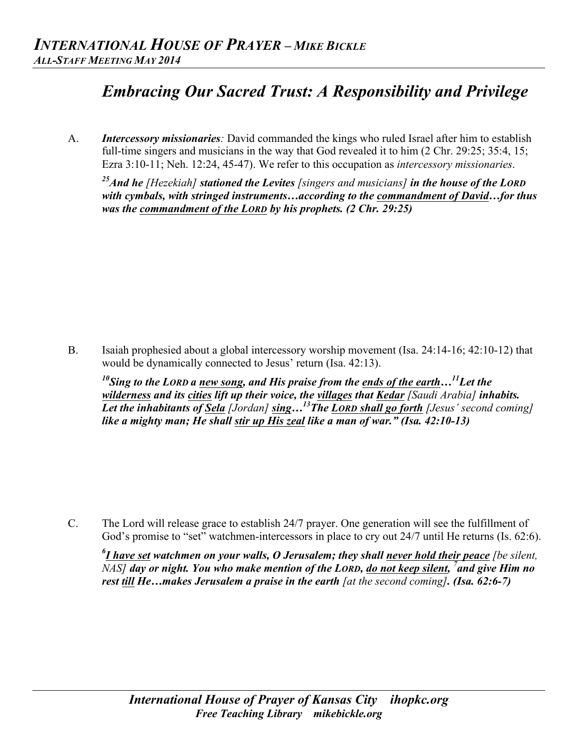## *Embracing Our Sacred Trust: A Responsibility and Privilege*

A. *Intercessory missionaries:* David commanded the kings who ruled Israel after him to establish full-time singers and musicians in the way that God revealed it to him (2 Chr. 29:25; 35:4, 15; Ezra 3:10-11; Neh. 12:24, 45-47). We refer to this occupation as *intercessory missionaries*.

*25And he [Hezekiah] stationed the Levites [singers and musicians] in the house of the LORD with cymbals, with stringed instruments…according to the commandment of David…for thus was the commandment of the LORD by his prophets. (2 Chr. 29:25)*

B. Isaiah prophesied about a global intercessory worship movement (Isa. 24:14-16; 42:10-12) that would be dynamically connected to Jesus' return (Isa. 42:13).

*10Sing to the LORD a new song, and His praise from the ends of the earth…11Let the wilderness and its cities lift up their voice, the villages that Kedar [Saudi Arabia] inhabits. Let the inhabitants of Sela [Jordan] sing…13The LORD shall go forth [Jesus' second coming] like a mighty man; He shall stir up His zeal like a man of war." (Isa. 42:10-13)* 

C. The Lord will release grace to establish 24/7 prayer. One generation will see the fulfillment of God's promise to "set" watchmen-intercessors in place to cry out 24/7 until He returns (Is. 62:6).

*6 I have set watchmen on your walls, O Jerusalem; they shall never hold their peace [be silent, NAS*] day or night. You who make mention of the LORD, do not keep silent, <sup>7</sup> and give Him no *rest till He…makes Jerusalem a praise in the earth [at the second coming]. (Isa. 62:6-7)*